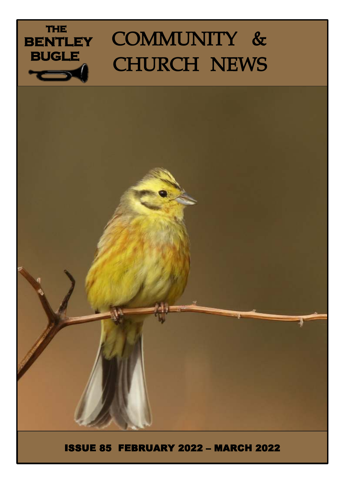



**ISSUE 85 FEBRUARY 2022 - MARCH 2022**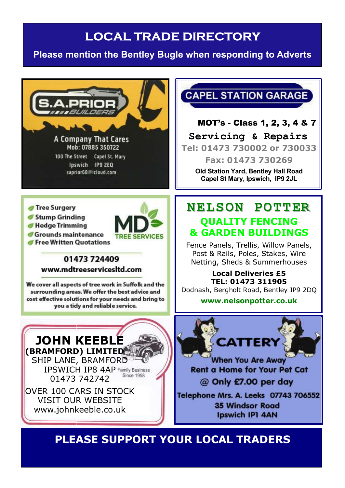# **LOCAL TRADE DIRECTORY**

**Please mention the Bentley Bugle when responding to Adverts**



# **CAPEL STATION GARAGE**

**MOT's - Class 1, 2, 3, 4 & 7 Servicing & Repairs Tel: 01473 730002 or 730033 Fax: 01473 730269**

**Old Station Yard, Bentley Hall Road Capel St Mary, Ipswich, IP9 2JL**

www.johnkeeble.co.uk

# **SEPTEMBER 2015 NELSONPOTTER QUALITY FENCING & GARDEN BUILDINGS**

Fence Panels, Trellis, Willow Panels, Post & Rails, Poles, Stakes, Wire Netting, Sheds & Summerhouses

#### **Local Deliveries £5 TEL: 01473 311905**

Dodnash, Bergholt Road, Bentley IP9 2DQ

**www.nelsonpotter.co.uk**



**35 Windsor Road** Ipswich IP1 4AN

# **PLEASE SUPPORT YOUR LOCAL TRADERS**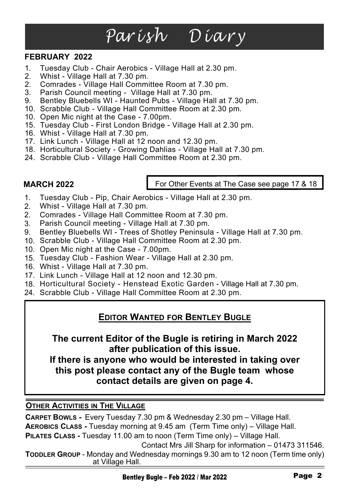# *Par i s h D i a r y*

#### **FEBRUARY 2022**

- Tuesday Club Chair Aerobics Village Hall at 2.30 pm. 1.
- Whist Village Hall at 7.30 pm. 2.
- Comrades Village Hall Committee Room at 7.30 pm. 2.
- Parish Council meeting Village Hall at 7.30 pm. 3.
- Bentley Bluebells WI Haunted Pubs Village Hall at 7.30 pm. 9.
- 10. Scrabble Club Village Hall Committee Room at 2.30 pm.
- 10. Open Mic night at the Case 7.00pm.
- 15. Tuesday Club First London Bridge Village Hall at 2.30 pm.
- Whist Village Hall at 7.30 pm. 16.
- 17. Link Lunch Village Hall at 12 noon and 12.30 pm.
- 18. Horticultural Society Growing Dahlias Village Hall at 7.30 pm.
- 24. Scrabble Club Village Hall Committee Room at 2.30 pm.

#### **MARCH 2022**

For Other Events at The Case see page 17 & 18

- Tuesday Club Pip, Chair Aerobics Village Hall at 2.30 pm. 1.
- Whist Village Hall at 7.30 pm. 2.
- Comrades Village Hall Committee Room at 7.30 pm. 2.
- Parish Council meeting Village Hall at 7.30 pm. 3.
- Bentley Bluebells WI Trees of Shotley Peninsula Village Hall at 7.30 pm. 9.
- 10. Scrabble Club Village Hall Committee Room at 2.30 pm.
- 10. Open Mic night at the Case 7.00pm.
- 15. Tuesday Club Fashion Wear Village Hall at 2.30 pm.
- Whist Village Hall at 7.30 pm. 16.
- 17. Link Lunch Village Hall at 12 noon and 12.30 pm.
- 18. Horticultural Society Henstead Exotic Garden Village Hall at 7.30 pm.
- 24. Scrabble Club Village Hall Committee Room at 2.30 pm.

#### **EDITOR WANTED FOR BENTLEY BUGLE**

**The current Editor of the Bugle is retiring in March 2022 after publication of this issue.**

**If there is anyone who would be interested in taking over this post please contact any of the Bugle team whose contact details are given on page 4.**

**OTHER ACTIVITIES IN THE VILLAGE**

**CARPET BOWLS -** Every Tuesday 7.30 pm & Wednesday 2.30 pm – Village Hall. **AEROBICS CLASS -** Tuesday morning at 9.45 am (Term Time only) – Village Hall. **PILATES CLASS -** Tuesday 11.00 am to noon (Term Time only) – Village Hall. Contact Mrs Jill Sharp for information – 01473 311546.

**TODDLER GROUP** - Monday and Wednesday mornings 9.30 am to 12 noon (Term time only) at Village Hall.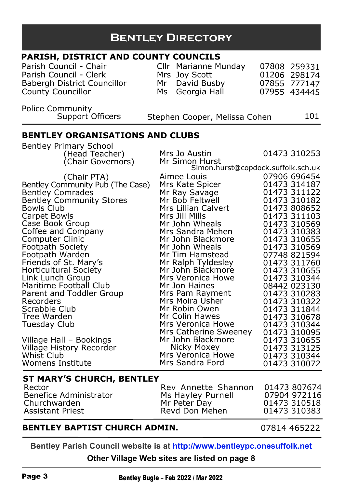### **Bentley Directory**

| PARISH, DISTRICT AND COUNTY COUNCILS                                                                                                                                                                                                                                                                                                                                                                                                                                |                                                                                                                                                                                                                                                                                                                                                                                                                                                                                |                                                                                                                                                                                                                                                                                                                                              |
|---------------------------------------------------------------------------------------------------------------------------------------------------------------------------------------------------------------------------------------------------------------------------------------------------------------------------------------------------------------------------------------------------------------------------------------------------------------------|--------------------------------------------------------------------------------------------------------------------------------------------------------------------------------------------------------------------------------------------------------------------------------------------------------------------------------------------------------------------------------------------------------------------------------------------------------------------------------|----------------------------------------------------------------------------------------------------------------------------------------------------------------------------------------------------------------------------------------------------------------------------------------------------------------------------------------------|
| Parish Council - Chair<br>Parish Council - Clerk<br>Babergh District Councillor<br><b>County Councillor</b>                                                                                                                                                                                                                                                                                                                                                         | Cllr Marianne Munday<br>Mrs Joy Scott<br>Mr<br>David Busby<br>Georgia Hall<br>Ms                                                                                                                                                                                                                                                                                                                                                                                               | 07808 259331<br>01206<br>298174<br>07855 777147<br>07955<br>434445                                                                                                                                                                                                                                                                           |
| <b>Police Community</b><br><b>Support Officers</b>                                                                                                                                                                                                                                                                                                                                                                                                                  | Stephen Cooper, Melissa Cohen                                                                                                                                                                                                                                                                                                                                                                                                                                                  | 101                                                                                                                                                                                                                                                                                                                                          |
| <b>BENTLEY ORGANISATIONS AND CLUBS</b>                                                                                                                                                                                                                                                                                                                                                                                                                              |                                                                                                                                                                                                                                                                                                                                                                                                                                                                                |                                                                                                                                                                                                                                                                                                                                              |
| <b>Bentley Primary School</b><br>(Head Teacher)<br>(Chair Governors)                                                                                                                                                                                                                                                                                                                                                                                                | Mrs Jo Austin<br>Mr Simon Hurst                                                                                                                                                                                                                                                                                                                                                                                                                                                | 01473 310253                                                                                                                                                                                                                                                                                                                                 |
| (Chair PTA)<br>Bentley Community Pub (The Case)<br>Bentley Comrades<br><b>Bentley Community Stores</b><br><b>Bowls Club</b><br><b>Carpet Bowls</b><br>Case Book Group<br>Coffee and Company<br><b>Computer Clinic</b><br><b>Footpath Society</b><br>Footpath Warden<br>Friends of St. Mary's<br><b>Horticultural Society</b><br>Link Lunch Group<br>Maritime Football Club<br>Parent and Toddler Group<br>Recorders<br>Scrabble Club<br>Tree Warden<br>Tuesday Club | Simon.hurst@copdock.suffolk.sch.uk<br>Aimee Louis<br>Mrs Kate Spicer<br>Mr Ray Savage<br>Mr Bob Feltwell<br>Mrs Lillian Calvert<br>Mrs Jill Mills<br>Mr John Wheals<br>Mrs Sandra Mehen<br>Mr John Blackmore<br>Mr John Wheals<br>Mr Tim Hamstead<br>Mr Ralph Tyldesley<br>Mr John Blackmore<br>Mrs Veronica Howe<br>Mr Jon Haines<br>Mrs Pam Rayment<br>Mrs Moira Usher<br>Mr Robin Owen<br>Mr Colin Hawes<br>Mrs Veronica Howe<br>Mrs Catherine Sweeney<br>Mr John Blackmore | 07906 696454<br>01473 314187<br>01473 311122<br>01473 310182<br>01473 808652<br>01473 311103<br>01473 310569<br>01473 310383<br>01473 310655<br>01473 310569<br>07748 821594<br>01473 311760<br>01473 310655<br>01473 310344<br>08442 023130<br>01473 310283<br>01473 310322<br>01473 311844<br>01473 310678<br>01473 310344<br>01473 310095 |
| Village Hall - Bookings<br>Village History Recorder<br>Whist Club<br><b>Womens Institute</b>                                                                                                                                                                                                                                                                                                                                                                        | Nicky Moxey<br><b>Mrs Veronica Howe</b><br>Mrs Sandra Ford                                                                                                                                                                                                                                                                                                                                                                                                                     | 01473 310655<br>01473 313125<br>01473 310344<br>01473 310072                                                                                                                                                                                                                                                                                 |

#### **ST MARY'S CHURCH, BENTLEY**

Rector Benefice Administrator Churchwarden Assistant Priest

Rev Annette Shannon Ms Hayley Purnell Mr Peter Day Revd Don Mehen

01473 807674 07904 972116 01473 310518 01473 310383

#### **BENTLEY BAPTIST CHURCH ADMIN.** 07814 465222

**Bentley Parish Council website is at http://www.bentleypc.onesuffolk.net Other Village Web sites are listed on page 8**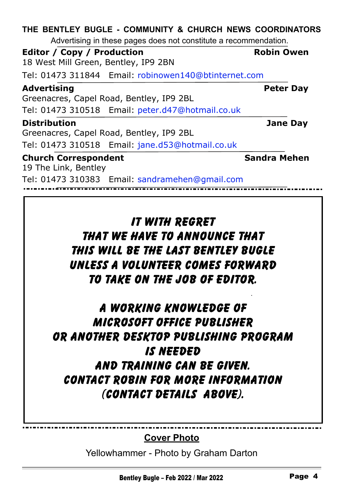#### **THE BENTLEY BUGLE - COMMUNITY & CHURCH NEWS COORDINATORS**

Advertising in these pages does not constitute a recommendation.

| <b>Robin Owen</b><br><b>Editor / Copy / Production</b><br>18 West Mill Green, Bentley, IP9 2BN |                     |  |  |
|------------------------------------------------------------------------------------------------|---------------------|--|--|
| Tel: 01473 311844 Email: robinowen140@btinternet.com                                           |                     |  |  |
| <b>Advertising</b>                                                                             | <b>Peter Day</b>    |  |  |
| Greenacres, Capel Road, Bentley, IP9 2BL                                                       |                     |  |  |
| Tel: 01473 310518 Email: peter.d47@hotmail.co.uk                                               |                     |  |  |
| <b>Distribution</b>                                                                            | <b>Jane Day</b>     |  |  |
| Greenacres, Capel Road, Bentley, IP9 2BL                                                       |                     |  |  |
| Tel: 01473 310518 Email: jane.d53@hotmail.co.uk                                                |                     |  |  |
| <b>Church Correspondent</b><br>19 The Link, Bentley                                            | <b>Sandra Mehen</b> |  |  |
| Tel: 01473 310383 Email: sandramehen@gmail.com                                                 |                     |  |  |

# **IT WITH REGRET**

# **THAT WE HAVE TO ANNOUNCE THAT THIS WILL BE THE LAST BENTLEY BUGLE UNLESS A VOLUNTEER COMES FORWARD TO TAKE ON THE JOB OF EDITOR.**

# **A WORKING KNOWLEDGE OF Microsoft Office Publisher Or another desktop publishing program Is needed And TRAINING can BE GIVEN. CONTACT ROBIN for more information (Contact details above).**

**Cover Photo**

Yellowhammer - Photo by Graham Darton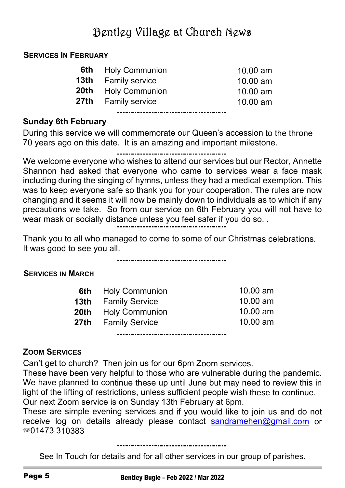# Bentley Village at Church News

#### **SERVICES IN FEBRUARY**

|      | <b>6th</b> Holy Communion  | $10.00$ am         |
|------|----------------------------|--------------------|
|      | <b>13th</b> Family service | $10.00 \text{ am}$ |
|      | <b>20th</b> Holy Communion | $10.00$ am         |
| 27th | <b>Family service</b>      | $10.00 \text{ am}$ |
|      |                            |                    |

**Sunday 6th February**

During this service we will commemorate our Queen's accession to the throne 70 years ago on this date. It is an amazing and important milestone.

We welcome everyone who wishes to attend our services but our Rector, Annette Shannon had asked that everyone who came to services wear a face mask including during the singing of hymns, unless they had a medical exemption. This was to keep everyone safe so thank you for your cooperation. The rules are now changing and it seems it will now be mainly down to individuals as to which if any precautions we take. So from our service on 6th February you will not have to wear mask or socially distance unless you feel safer if you do so. .

Thank you to all who managed to come to some of our Christmas celebrations. It was good to see you all.

-----------------------------------

#### **SERVICES IN MARCH**

| <b>6th</b> Holy Communion  | $10.00 \text{ am}$ |
|----------------------------|--------------------|
| <b>13th</b> Family Service | $10.00$ am         |
| <b>20th</b> Holy Communion | $10.00$ am         |
| <b>27th</b> Family Service | $10.00$ am         |
|                            |                    |

#### **ZOOM SERVICES**

Can't get to church? Then join us for our 6pm Zoom services.

These have been very helpful to those who are vulnerable during the pandemic. We have planned to continue these up until June but may need to review this in light of the lifting of restrictions, unless sufficient people wish these to continue. Our next Zoom service is on Sunday 13th February at 6pm.

These are simple evening services and if you would like to join us and do not receive log on details already please contact sandramehen@gmail.com or **<sup></sub><sup>®</sup>01473 310383**</sup>

#### -------------------------------------

See In Touch for details and for all other services in our group of parishes.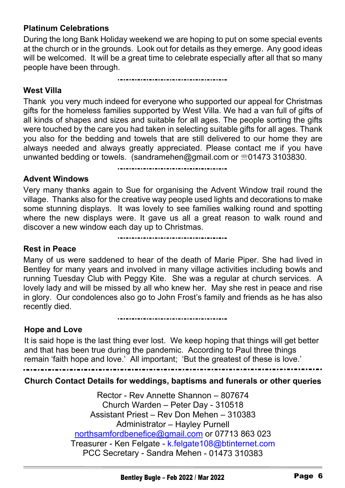#### **Platinum Celebrations**

During the long Bank Holiday weekend we are hoping to put on some special events at the church or in the grounds. Look out for details as they emerge. Any good ideas will be welcomed. It will be a great time to celebrate especially after all that so many people have been through.

#### **West Villa**

Thank you very much indeed for everyone who supported our appeal for Christmas gifts for the homeless families supported by West Villa. We had a van full of gifts of all kinds of shapes and sizes and suitable for all ages. The people sorting the gifts were touched by the care you had taken in selecting suitable gifts for all ages. Thank you also for the bedding and towels that are still delivered to our home they are always needed and always greatly appreciated. Please contact me if you have unwanted bedding or towels. (sandramehen@gmail.com or  $\approx 01473$  3103830.

......................................

#### **Advent Windows**

Very many thanks again to Sue for organising the Advent Window trail round the village. Thanks also for the creative way people used lights and decorations to make some stunning displays. It was lovely to see families walking round and spotting where the new displays were. It gave us all a great reason to walk round and discover a new window each day up to Christmas.

#### **Rest in Peace**

Many of us were saddened to hear of the death of Marie Piper. She had lived in Bentley for many years and involved in many village activities including bowls and running Tuesday Club with Peggy Kite. She was a regular at church services. A lovely lady and will be missed by all who knew her. May she rest in peace and rise in glory. Our condolences also go to John Frost's family and friends as he has also recently died.

#### **Hope and Love**

It is said hope is the last thing ever lost. We keep hoping that things will get better and that has been true during the pandemic. According to Paul three things remain 'faith hope and love.' All important; 'But the greatest of these is love.'

#### **Church Contact Details for weddings, baptisms and funerals or other queries**

Rector - Rev Annette Shannon – 807674 Church Warden – Peter Day - 310518 Assistant Priest – Rev Don Mehen – 310383 Administrator – Hayley Purnell northsamfordbenefice@gmail.com or 07713 863 023 Treasurer - Ken Felgate - [k.felgate108@btinternet.com](mailto:k.felgate108@btinternet.com) PCC Secretary - Sandra Mehen - 01473 310383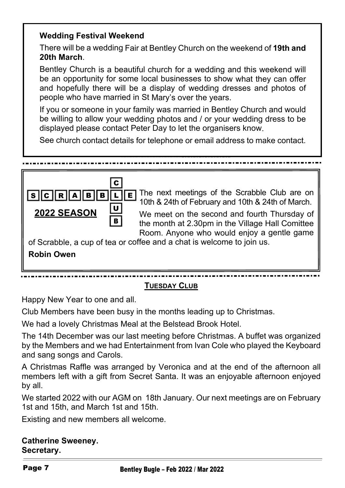#### **Wedding Festival Weekend**

There will be a wedding Fair at Bentley Church on the weekend of **19th and 20th March**.

Bentley Church is a beautiful church for a wedding and this weekend will be an opportunity for some local businesses to show what they can offer and hopefully there will be a display of wedding dresses and photos of people who have married in St Mary's over the years.

If you or someone in your family was married in Bentley Church and would be willing to allow your wedding photos and / or your wedding dress to be displayed please contact Peter Day to let the organisers know.

See church contact details for telephone or email address to make contact.



 $\mathbf{F}$  The next meetings of the Scrabble Club are on 10th & 24th of February and 10th & 24th of March.

We meet on the second and fourth Thursday of the month at 2.30pm in the Village Hall Comittee Room. Anyone who would enjoy a gentle game

of Scrabble, a cup of tea or coffee and a chat is welcome to join us.

**Robin Owen**

#### **TUESDAY CLUB**

Happy New Year to one and all.

Club Members have been busy in the months leading up to Christmas.

We had a lovely Christmas Meal at the Belstead Brook Hotel.

The 14th December was our last meeting before Christmas. A buffet was organized by the Members and we had Entertainment from Ivan Cole who played the Keyboard and sang songs and Carols.

A Christmas Raffle was arranged by Veronica and at the end of the afternoon all members left with a gift from Secret Santa. It was an enjoyable afternoon enjoyed by all.

We started 2022 with our AGM on 18th January. Our next meetings are on February 1st and 15th, and March 1st and 15th.

Existing and new members all welcome.

# **Catherine Sweeney.**

**Secretary.**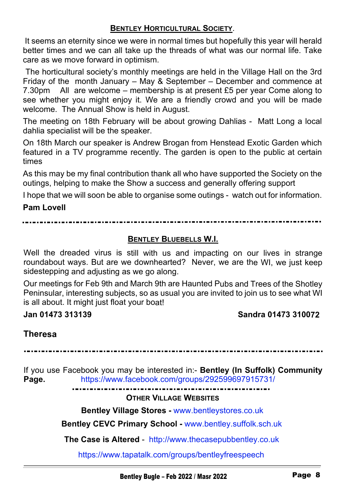#### **BENTLEY HORTICULTURAL SOCIETY**.

 It seems an eternity since we were in normal times but hopefully this year will herald better times and we can all take up the threads of what was our normal life. Take care as we move forward in optimism.

 The horticultural society's monthly meetings are held in the Village Hall on the 3rd Friday of the month January – May & September – December and commence at 7.30pm All are welcome – membership is at present £5 per year Come along to see whether you might enjoy it. We are a friendly crowd and you will be made welcome. The Annual Show is held in August.

The meeting on 18th February will be about growing Dahlias - Matt Long a local dahlia specialist will be the speaker.

On 18th March our speaker is Andrew Brogan from Henstead Exotic Garden which featured in a TV programme recently. The garden is open to the public at certain times

As this may be my final contribution thank all who have supported the Society on the outings, helping to make the Show a success and generally offering support

I hope that we will soon be able to organise some outings - watch out for information.

#### **Pam Lovell**

#### **BENTLEY BLUEBELLS W.I.**

Well the dreaded virus is still with us and impacting on our lives in strange roundabout ways. But are we downhearted? Never, we are the WI, we just keep sidestepping and adjusting as we go along.

Our meetings for Feb 9th and March 9th are Haunted Pubs and Trees of the Shotley Peninsular, interesting subjects, so as usual you are invited to join us to see what WI is all about. It might just float your boat!

#### **Jan 01473 313139 Sandra 01473 310072**

#### **Theresa**

If you use Facebook you may be interested in:- **Bentley (In Suffolk) Community Page.** https://www.facebook.com/groups/292599697915731/

#### **OTHER VILLAGE WEBSITES**

**Bentley Village Stores -** www.bentleystores.co.uk

**Bentley CEVC Primary School -** www.bentley.suffolk.sch.uk

**The Case is Altered** - http://www.thecasepubbentley.co.uk

https://www.tapatalk.com/groups/bentleyfreespeech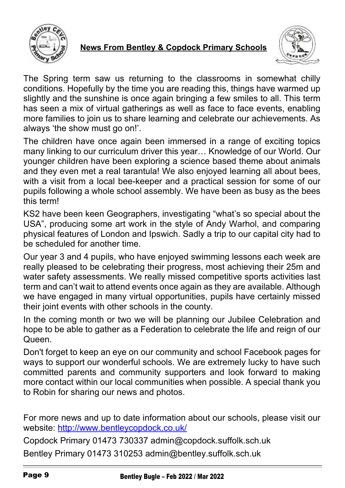

#### **News From Bentley & Copdock Primary Schools**



The Spring term saw us returning to the classrooms in somewhat chilly conditions. Hopefully by the time you are reading this, things have warmed up slightly and the sunshine is once again bringing a few smiles to all. This term has seen a mix of virtual gatherings as well as face to face events, enabling more families to join us to share learning and celebrate our achievements. As always 'the show must go on!'.

The children have once again been immersed in a range of exciting topics many linking to our curriculum driver this year… Knowledge of our World. Our younger children have been exploring a science based theme about animals and they even met a real tarantula! We also enjoyed learning all about bees, with a visit from a local bee-keeper and a practical session for some of our pupils following a whole school assembly. We have been as busy as the bees this term!

KS2 have been keen Geographers, investigating "what's so special about the USA", producing some art work in the style of Andy Warhol, and comparing physical features of London and Ipswich. Sadly a trip to our capital city had to be scheduled for another time.

Our year 3 and 4 pupils, who have enjoyed swimming lessons each week are really pleased to be celebrating their progress, most achieving their 25m and water safety assessments. We really missed competitive sports activities last term and can't wait to attend events once again as they are available. Although we have engaged in many virtual opportunities, pupils have certainly missed their joint events with other schools in the county.

In the coming month or two we will be planning our Jubilee Celebration and hope to be able to gather as a Federation to celebrate the life and reign of our Queen.

Don't forget to keep an eye on our community and school Facebook pages for ways to support our wonderful schools. We are extremely lucky to have such committed parents and community supporters and look forward to making more contact within our local communities when possible. A special thank you to Robin for sharing our news and photos.

For more news and up to date information about our schools, please visit our website: http://www.bentleycopdock.co.uk/

Copdock Primary 01473 730337 admin@copdock.suffolk.sch.uk

Bentley Primary 01473 310253 admin@bentley.suffolk.sch.uk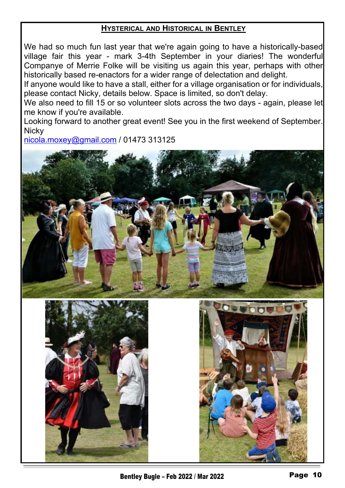#### **HYSTERICAL AND HISTORICAL IN BENTLEY**

We had so much fun last year that we're again going to have a historically-based village fair this year - mark 3-4th September in your diaries! The wonderful Companye of Merrie Folke will be visiting us again this year, perhaps with other historically based re-enactors for a wider range of delectation and delight.

If anyone would like to have a stall, either for a village organisation or for individuals, please contact Nicky, details below. Space is limited, so don't delay.

We also need to fill 15 or so volunteer slots across the two days - again, please let me know if you're available.

Looking forward to another great event! See you in the first weekend of September. **Nicky** 

nicola.moxey@gmail.com / 01473 313125

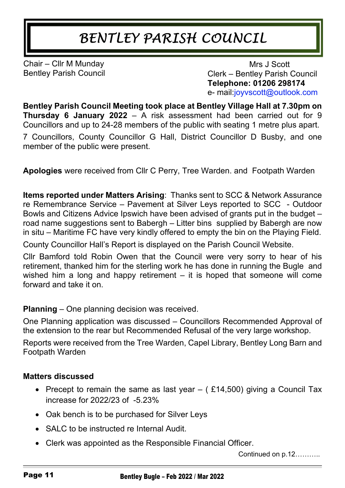# BENTLEY PARISH COUNCIL

Chair – Cllr M Munday Bentley Parish Council

 Mrs J Scott Clerk – Bentley Parish Council **Telephone: 01206 298174** e- mail:joyvscott@outlook.com

**Bentley Parish Council Meeting took place at Bentley Village Hall at 7.30pm on Thursday 6 January 2022** – A risk assessment had been carried out for 9 Councillors and up to 24-28 members of the public with seating 1 metre plus apart.

7 Councillors, County Councillor G Hall, District Councillor D Busby, and one member of the public were present.

**Apologies** were received from Cllr C Perry, Tree Warden. and Footpath Warden

**Items reported under Matters Arising**: Thanks sent to SCC & Network Assurance re Remembrance Service – Pavement at Silver Leys reported to SCC - Outdoor Bowls and Citizens Advice Ipswich have been advised of grants put in the budget – road name suggestions sent to Babergh – Litter bins supplied by Babergh are now in situ – Maritime FC have very kindly offered to empty the bin on the Playing Field.

County Councillor Hall's Report is displayed on the Parish Council Website.

Cllr Bamford told Robin Owen that the Council were very sorry to hear of his retirement, thanked him for the sterling work he has done in running the Bugle and wished him a long and happy retirement – it is hoped that someone will come forward and take it on.

**Planning** – One planning decision was received.

One Planning application was discussed – Councillors Recommended Approval of the extension to the rear but Recommended Refusal of the very large workshop.

Reports were received from the Tree Warden, Capel Library, Bentley Long Barn and Footpath Warden

#### **Matters discussed**

- Precept to remain the same as last year  $-$  (£14,500) giving a Council Tax increase for 2022/23 of -5.23%
- Oak bench is to be purchased for Silver Leys
- SALC to be instructed re Internal Audit.
- �� Clerk was appointed as the Responsible Financial Officer.

Continued on p.12………..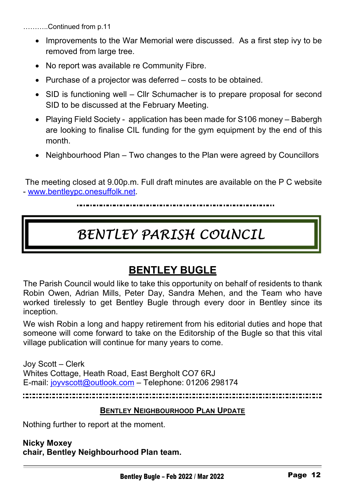………..Continued from p.11

- Improvements to the War Memorial were discussed. As a first step ivy to be removed from large tree.
- No report was available re Community Fibre.
- Purchase of a projector was deferred costs to be obtained.
- SID is functioning well Cllr Schumacher is to prepare proposal for second SID to be discussed at the February Meeting.
- Playing Field Society application has been made for S106 money Babergh are looking to finalise CIL funding for the gym equipment by the end of this month.
- Neighbourhood Plan Two changes to the Plan were agreed by Councillors

 The meeting closed at 9.00p.m. Full draft minutes are available on the P C website - www.bentleypc.onesuffolk.net.

# **BENTLEY PARISH COUNCIL**

# **BENTLEY BUGLE**

The Parish Council would like to take this opportunity on behalf of residents to thank Robin Owen, Adrian Mills, Peter Day, Sandra Mehen, and the Team who have worked tirelessly to get Bentley Bugle through every door in Bentley since its inception.

We wish Robin a long and happy retirement from his editorial duties and hope that someone will come forward to take on the Editorship of the Bugle so that this vital village publication will continue for many years to come.

Joy Scott – Clerk Whites Cottage, Heath Road, East Bergholt CO7 6RJ E-mail: joyvscott@outlook.com – Telephone: 01206 298174

#### **BENTLEY NEIGHBOURHOOD PLAN UPDATE**

Nothing further to report at the moment.

**Nicky Moxey chair, Bentley Neighbourhood Plan team.**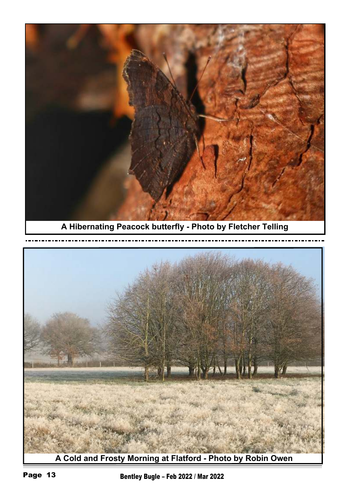

**A Hibernating Peacock butterfly - Photo by Fletcher Telling**



**A Cold and Frosty Morning at Flatford - Photo by Robin Owen**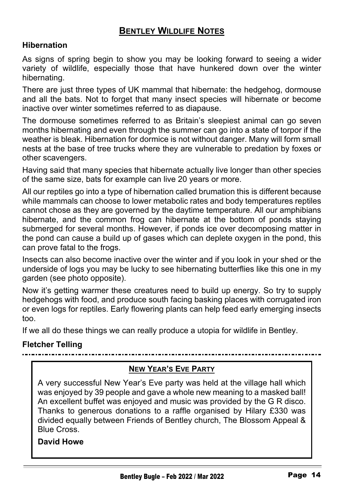#### **BENTLEY WILDLIFE NOTES**

#### **Hibernation**

As signs of spring begin to show you may be looking forward to seeing a wider variety of wildlife, especially those that have hunkered down over the winter hibernating.

There are just three types of UK mammal that hibernate: the hedgehog, dormouse and all the bats. Not to forget that many insect species will hibernate or become inactive over winter sometimes referred to as diapause.

The dormouse sometimes referred to as Britain's sleepiest animal can go seven months hibernating and even through the summer can go into a state of torpor if the weather is bleak. Hibernation for dormice is not without danger. Many will form small nests at the base of tree trucks where they are vulnerable to predation by foxes or other scavengers.

Having said that many species that hibernate actually live longer than other species of the same size, bats for example can live 20 years or more.

All our reptiles go into a type of hibernation called brumation this is different because while mammals can choose to lower metabolic rates and body temperatures reptiles cannot chose as they are governed by the daytime temperature. All our amphibians hibernate, and the common frog can hibernate at the bottom of ponds staying submerged for several months. However, if ponds ice over decomposing matter in the pond can cause a build up of gases which can deplete oxygen in the pond, this can prove fatal to the frogs.

Insects can also become inactive over the winter and if you look in your shed or the underside of logs you may be lucky to see hibernating butterflies like this one in my garden (see photo opposite).

Now it's getting warmer these creatures need to build up energy. So try to supply hedgehogs with food, and produce south facing basking places with corrugated iron or even logs for reptiles. Early flowering plants can help feed early emerging insects too.

If we all do these things we can really produce a utopia for wildlife in Bentley.

#### **Fletcher Telling**

#### **NEW YEAR'S EVE PARTY**

A very successful New Year's Eve party was held at the village hall which was enjoyed by 39 people and gave a whole new meaning to a masked ball! An excellent buffet was enjoyed and music was provided by the G R disco. Thanks to generous donations to a raffle organised by Hilary £330 was divided equally between Friends of Bentley church, The Blossom Appeal & Blue Cross.

**David Howe**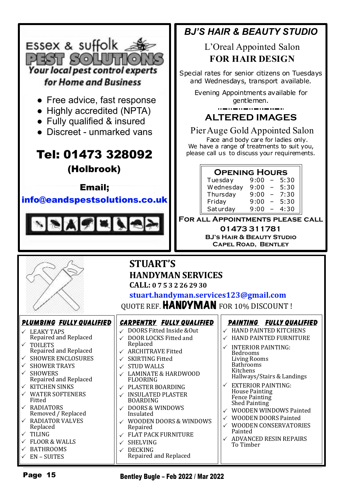|                                                       |                                                                | <b>BJ'S HAIR &amp; BEAUTY STUDIO</b>                                                       |  |
|-------------------------------------------------------|----------------------------------------------------------------|--------------------------------------------------------------------------------------------|--|
| Essex & suffolk                                       |                                                                | L'Oreal Appointed Salon                                                                    |  |
|                                                       |                                                                | <b>FOR HAIR DESIGN</b>                                                                     |  |
| Your local pest control experts                       |                                                                | Special rates for senior citizens on Tuesdays                                              |  |
| for Home and Business                                 |                                                                | and Wednesdays, transport available.                                                       |  |
|                                                       |                                                                | Evening Appointments available for                                                         |  |
| • Free advice, fast response                          |                                                                | gentlemen.                                                                                 |  |
| Highly accredited (NPTA)                              |                                                                | <b>ALTERED IMAGES</b>                                                                      |  |
| Fully qualified & insured<br>Discreet - unmarked vans |                                                                | Pier Auge Gold Appointed Salon                                                             |  |
|                                                       |                                                                | Face and body care for ladies only.                                                        |  |
| Tel: 01473 328092                                     |                                                                | We have a range of treatments to suit you,<br>please call us to discuss your requirements. |  |
|                                                       |                                                                |                                                                                            |  |
| (Holbrook)                                            |                                                                | <b>OPENING HOURS</b>                                                                       |  |
| <b>Email;</b>                                         |                                                                | Tuesday<br>$9:00 -$<br>5:30<br>Wednesday $9:00 - 5:30$                                     |  |
| info@eandspestsolutions.co.uk                         |                                                                | Thursday<br>$9:00 - 7:30$<br>Friday<br>$9:00 -$<br>5:30                                    |  |
|                                                       |                                                                | Saturday 9:00 -<br>4:30                                                                    |  |
| $A$ $\mathcal{F}$ $\mathcal{R}$                       |                                                                | FOR ALL APPOINTMENTS PLEASE CALL                                                           |  |
|                                                       |                                                                | 01473311781                                                                                |  |
|                                                       |                                                                | <b>BJ's HAIR &amp; BEAUTY STUDIO</b><br><b>CAPEL ROAD, BENTLEY</b>                         |  |
|                                                       |                                                                |                                                                                            |  |
|                                                       |                                                                |                                                                                            |  |
|                                                       | <b>STUART'S</b>                                                |                                                                                            |  |
|                                                       |                                                                | HANDYMAN SERVICES                                                                          |  |
|                                                       | CALL: 07532262930                                              |                                                                                            |  |
|                                                       |                                                                | stuart.handyman.services123@gmail.com                                                      |  |
|                                                       |                                                                | QUOTE REF. HANDYMAN FOR 10% DISCOUNT!                                                      |  |
| PLUMBING FULLY QUALIFIED                              | <b>CARPENTRY FULLY QUALIFIED</b><br>√ DOORS Fitted Inside &Out | <b>PAINTING FULLY QUALIFIED</b><br>$\checkmark$ HAND PAINTED KITCHENS                      |  |
| √ LEAKY TAPS<br>Repaired and Replaced                 | $\checkmark$ DOOR LOCKS Fitted and                             | <b>HAND PAINTED FURNITURE</b><br>$\checkmark$                                              |  |
| <b>TOILETS</b><br>Repaired and Replaced               | Replaced<br><b>ARCHITRAVE Fitted</b>                           | <b>INTERIOR PAINTING:</b><br>✓                                                             |  |
| <b>SHOWER ENCLOSURES</b>                              | <b>SKIRTING Fitted</b><br>✓                                    | <b>Bedrooms</b>                                                                            |  |
| <b>SHOWER TRAYS</b>                                   | <b>STUD WALLS</b>                                              | Living Rooms<br>Bathrooms<br>Kitchens                                                      |  |
| <b>SHOWERS</b><br>Repaired and Replaced               | <b>LAMINATE &amp; HARDWOOD</b><br><b>FLOORING</b>              | Hallways/Stairs & Landings                                                                 |  |
| <b>KITCHEN SINKS</b>                                  | PLASTER BOARDING                                               | <b>EXTERIOR PAINTING:</b><br>$\checkmark$                                                  |  |
| <b>WATER SOFTENERS</b><br>Fitted                      | <b>INSULATED PLASTER</b><br><b>BOARDING</b>                    | <b>House Painting</b>                                                                      |  |
| $\checkmark$ RADIATORS                                | <b>DOORS &amp; WINDOWS</b>                                     | Fence Painting<br>Shed Painting<br><b>WOODEN WINDOWS Painted</b><br>✓                      |  |
| Removed / Replaced<br>$\checkmark$ RADIATOR VALVES    | Insulated<br><b>WOODEN DOORS &amp; WINDOWS</b>                 | <b>WOODEN DOORS Painted</b><br>✓                                                           |  |
| Replaced                                              | Repaired                                                       | <b>WOODEN CONSERVATORIES</b><br>Painted                                                    |  |
| <b>TILING</b><br><b>FLOOR &amp; WALLS</b>             | <b>FLAT PACK FURNITURE</b><br><b>SHELVING</b>                  | $\checkmark$ ADVANCED RESIN REPAIRS                                                        |  |
| <b>BATHROOMS</b>                                      | <b>DECKING</b>                                                 | To Timber                                                                                  |  |
| $\checkmark$ EN - SUITES                              | Repaired and Replaced                                          |                                                                                            |  |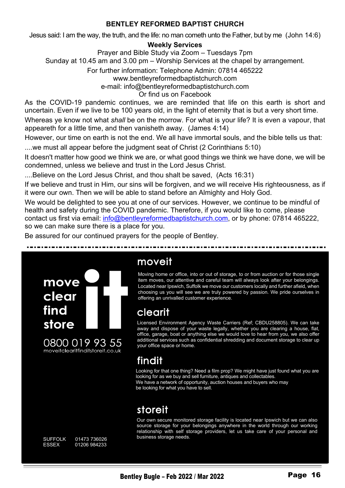#### **BENTLEY REFORMED BAPTIST CHURCH**

Jesus said: I am the way, the truth, and the life: no man cometh unto the Father, but by me (John 14:6)

#### **Weekly Services**

Prayer and Bible Study via Zoom – Tuesdays 7pm

Sunday at 10.45 am and 3.00 pm – Worship Services at the chapel by arrangement.

For further information: Telephone Admin: 07814 465222 www.bentleyreformedbaptistchurch.com

e-mail: info@bentleyreformedbaptistchurch.com

Or find us on Facebook

As the COVID-19 pandemic continues, we are reminded that life on this earth is short and uncertain. Even if we live to be 100 years old, in the light of eternity that is but a very short time.

Whereas ye know not what *shall* be on the morrow. For what is your life? It is even a vapour, that appeareth for a little time, and then vanisheth away. (James 4:14)

However, our time on earth is not the end. We all have immortal souls, and the bible tells us that:

....we must all appear before the judgment seat of Christ (2 Corinthians 5:10)

It doesn't matter how good we think we are, or what good things we think we have done, we will be condemned, unless we believe and trust in the Lord Jesus Christ.

....Believe on the Lord Jesus Christ, and thou shalt be saved, (Acts 16:31)

If we believe and trust in Him, our sins will be forgiven, and we will receive His righteousness, as if it were our own. Then we will be able to stand before an Almighty and Holy God.

We would be delighted to see you at one of our services. However, we continue to be mindful of health and safety during the COVID pandemic. Therefore, if you would like to come, please contact us first via email: info@bentleyreformedbaptistchurch.com, or by phone: 07814 465222, so we can make sure there is a place for you.

Be assured for our continued prayers for the people of Bentley.



### moveit

Moving home or office, into or out of storage, to or from auction or for those single item moves, our attentive and careful team will always look after your belongings. Located near Ipswich, Suffolk we move our customers locally and further afield, when choosing us you will see we are truly powered by passion. We pride ourselves in offering an unrivalled customer experience.

### clearit

Licensed Environment Agency Waste Carriers (Ref; CBDU258805). We can take away and dispose of your waste legally, whether you are clearing a house, flat, office, garage, boat or anything else we would love to hear from you, we also offer additional services such as confidential shredding and document storage to clear up your office space or home.

# findit

Looking for that one thing? Need a film prop? We might have just found what you are looking for as we buy and sell furniture, antiques and collectables. We have a network of opportunity, auction houses and buyers who may be looking for what you have to sell.

### storeit

Our own secure monitored storage facility is located near Ipswich but we can also source storage for your belongings anywhere in the world through our working relationship with self storage providers, let us take care of your personal and business storage needs.

SUFFOLK 01473 736026 ESSEX 01206 984233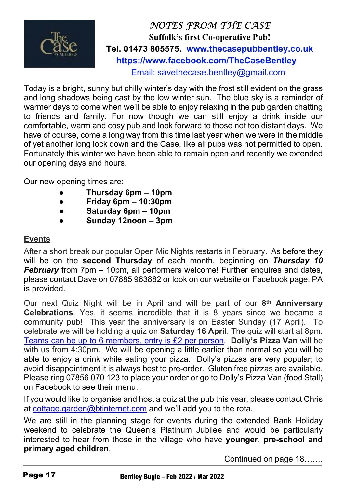

### NOTES FROM THE CASE **Suffolk'**s **first Co-operative Pub! Tel. 01473 805575. www.thecasepubbentley.co.uk https://www.facebook.com/TheCaseBentley** Email: savethecase.bentley@gmail.com

Today is a bright, sunny but chilly winter's day with the frost still evident on the grass and long shadows being cast by the low winter sun. The blue sky is a reminder of warmer days to come when we'll be able to enjoy relaxing in the pub garden chatting to friends and family. For now though we can still enjoy a drink inside our comfortable, warm and cosy pub and look forward to those not too distant days. We have of course, come a long way from this time last year when we were in the middle of yet another long lock down and the Case, like all pubs was not permitted to open. Fortunately this winter we have been able to remain open and recently we extended our opening days and hours.

Our new opening times are:

- **● Thursday 6pm 10pm**
- **● Friday 6pm 10:30pm**
- **● Saturday 6pm 10pm**
- **● Sunday 12noon 3pm**

#### **Events**

After a short break our popular Open Mic Nights restarts in February. As before they will be on the **second Thursday** of each month, beginning on *Thursday 10 February* from 7pm – 10pm, all performers welcome! Further enquires and dates, please contact Dave on 07885 963882 or look on our website or Facebook page. PA is provided.

Our next Quiz Night will be in April and will be part of our **8 th Anniversary Celebrations**. Yes, it seems incredible that it is 8 years since we became a community pub! This year the anniversary is on Easter Sunday (17 April). To celebrate we will be holding a quiz on **Saturday 16 April**. The quiz will start at 8pm. Teams can be up to 6 members, entry is £2 per person. **Dolly's Pizza Van** will be with us from 4:30pm. We will be opening a little earlier than normal so you will be able to enjoy a drink while eating your pizza. Dolly's pizzas are very popular; to avoid disappointment it is always best to pre-order. Gluten free pizzas are available. Please ring 07856 070 123 to place your order or go to Dolly's Pizza Van (food Stall) on Facebook to see their menu.

If you would like to organise and host a quiz at the pub this year, please contact Chris at cottage.garden@btinternet.com and we'll add you to the rota.

We are still in the planning stage for events during the extended Bank Holiday weekend to celebrate the Queen's Platinum Jubilee and would be particularly interested to hear from those in the village who have **younger, pre-school and primary aged children**.

Continued on page 18…….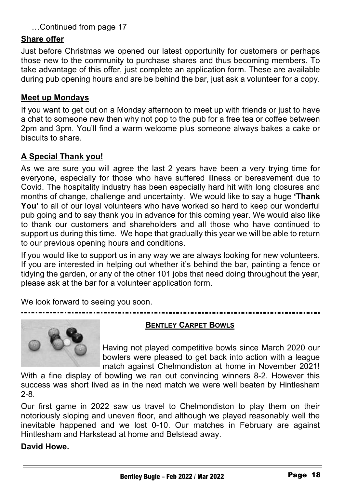#### …Continued from page 17

#### **Share offer**

Just before Christmas we opened our latest opportunity for customers or perhaps those new to the community to purchase shares and thus becoming members. To take advantage of this offer, just complete an application form. These are available during pub opening hours and are be behind the bar, just ask a volunteer for a copy.

#### **Meet up Mondays**

If you want to get out on a Monday afternoon to meet up with friends or just to have a chat to someone new then why not pop to the pub for a free tea or coffee between 2pm and 3pm. You'll find a warm welcome plus someone always bakes a cake or biscuits to share.

#### **A Special Thank you!**

As we are sure you will agree the last 2 years have been a very trying time for everyone, especially for those who have suffered illness or bereavement due to Covid. The hospitality industry has been especially hard hit with long closures and months of change, challenge and uncertainty. We would like to say a huge **'Thank You'** to all of our loyal volunteers who have worked so hard to keep our wonderful pub going and to say thank you in advance for this coming year. We would also like to thank our customers and shareholders and all those who have continued to support us during this time. We hope that gradually this year we will be able to return to our previous opening hours and conditions.

If you would like to support us in any way we are always looking for new volunteers. If you are interested in helping out whether it's behind the bar, painting a fence or tidying the garden, or any of the other 101 jobs that need doing throughout the year, please ask at the bar for a volunteer application form.

We look forward to seeing you soon.



#### **BENTLEY CARPET BOWLS**

Having not played competitive bowls since March 2020 our bowlers were pleased to get back into action with a league match against Chelmondiston at home in November 2021!

With a fine display of bowling we ran out convincing winners 8-2. However this success was short lived as in the next match we were well beaten by Hintlesham 2-8.

Our first game in 2022 saw us travel to Chelmondiston to play them on their notoriously sloping and uneven floor, and although we played reasonably well the inevitable happened and we lost 0-10. Our matches in February are against Hintlesham and Harkstead at home and Belstead away.

#### **David Howe.**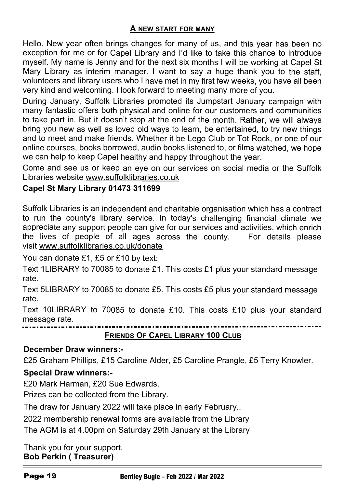#### **A NEW START FOR MANY**

Hello. New year often brings changes for many of us, and this year has been no exception for me or for Capel Library and I'd like to take this chance to introduce myself. My name is Jenny and for the next six months I will be working at Capel St Mary Library as interim manager. I want to say a huge thank you to the staff, volunteers and library users who I have met in my first few weeks, you have all been very kind and welcoming. I look forward to meeting many more of you.

During January, Suffolk Libraries promoted its Jumpstart January campaign with many fantastic offers both physical and online for our customers and communities to take part in. But it doesn't stop at the end of the month. Rather, we will always bring you new as well as loved old ways to learn, be entertained, to try new things and to meet and make friends. Whether it be Lego Club or Tot Rock, or one of our online courses, books borrowed, audio books listened to, or films watched, we hope we can help to keep Capel healthy and happy throughout the year.

Come and see us or keep an eye on our services on social media or the Suffolk Libraries website www.suffolklibraries.co.uk

#### **Capel St Mary Library 01473 311699**

Suffolk Libraries is an independent and charitable organisation which has a contract to run the county's library service. In today's challenging financial climate we appreciate any support people can give for our services and activities, which enrich the lives of people of all ages across the county. For details please visit www.suffolklibraries.co.uk/donate

You can donate £1, £5 or £10 by text:

Text 1LIBRARY to 70085 to donate £1. This costs £1 plus your standard message rate.

Text 5LIBRARY to 70085 to donate £5. This costs £5 plus your standard message rate.

Text 10LIBRARY to 70085 to donate £10. This costs £10 plus your standard message rate.

**FRIENDS OF CAPEL LIBRARY 100 CLUB**

#### **December Draw winners:-**

£25 Graham Phillips, £15 Caroline Alder, £5 Caroline Prangle, £5 Terry Knowler.

#### **Special Draw winners:-**

£20 Mark Harman, £20 Sue Edwards.

Prizes can be collected from the Library.

The draw for January 2022 will take place in early February..

2022 membership renewal forms are available from the Library

The AGM is at 4.00pm on Saturday 29th January at the Library

Thank you for your support. **Bob Perkin ( Treasurer)**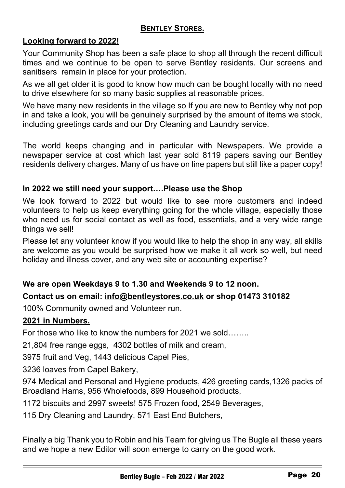#### **BENTLEY STORES.**

#### **Looking forward to 2022!**

Your Community Shop has been a safe place to shop all through the recent difficult times and we continue to be open to serve Bentley residents. Our screens and sanitisers remain in place for your protection.

As we all get older it is good to know how much can be bought locally with no need to drive elsewhere for so many basic supplies at reasonable prices.

We have many new residents in the village so If you are new to Bentley why not pop in and take a look, you will be genuinely surprised by the amount of items we stock, including greetings cards and our Dry Cleaning and Laundry service.

The world keeps changing and in particular with Newspapers. We provide a newspaper service at cost which last year sold 8119 papers saving our Bentley residents delivery charges. Many of us have on line papers but still like a paper copy!

#### **In 2022 we still need your support….Please use the Shop**

We look forward to 2022 but would like to see more customers and indeed volunteers to help us keep everything going for the whole village, especially those who need us for social contact as well as food, essentials, and a very wide range things we sell!

Please let any volunteer know if you would like to help the shop in any way, all skills are welcome as you would be surprised how we make it all work so well, but need holiday and illness cover, and any web site or accounting expertise?

#### **We are open Weekdays 9 to 1.30 and Weekends 9 to 12 noon.**

#### **Contact us on email: info@bentleystores.co.uk or shop 01473 310182**

100% Community owned and Volunteer run.

#### **2021 in Numbers.**

For those who like to know the numbers for 2021 we sold……..

21,804 free range eggs, 4302 bottles of milk and cream,

3975 fruit and Veg, 1443 delicious Capel Pies,

3236 loaves from Capel Bakery,

974 Medical and Personal and Hygiene products, 426 greeting cards,1326 packs of Broadland Hams, 956 Wholefoods, 899 Household products,

1172 biscuits and 2997 sweets! 575 Frozen food, 2549 Beverages,

115 Dry Cleaning and Laundry, 571 East End Butchers,

Finally a big Thank you to Robin and his Team for giving us The Bugle all these years and we hope a new Editor will soon emerge to carry on the good work.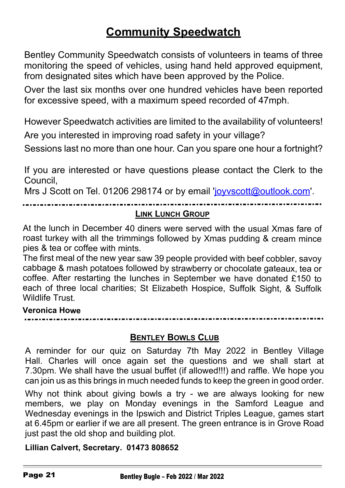# **Community Speedwatch**

Bentley Community Speedwatch consists of volunteers in teams of three monitoring the speed of vehicles, using hand held approved equipment, from designated sites which have been approved by the Police.

Over the last six months over one hundred vehicles have been reported for excessive speed, with a maximum speed recorded of 47mph.

However Speedwatch activities are limited to the availability of volunteers! Are you interested in improving road safety in your village?

Sessions last no more than one hour. Can you spare one hour a fortnight?

If you are interested or have questions please contact the Clerk to the Council,

Mrs J Scott on Tel. 01206 298174 or by email 'joyyscott@outlook.com'.

#### **LINK LUNCH GROUP**

At the lunch in December 40 diners were served with the usual Xmas fare of roast turkey with all the trimmings followed by Xmas pudding & cream mince pies & tea or coffee with mints.

The first meal of the new year saw 39 people provided with beef cobbler, savoy cabbage & mash potatoes followed by strawberry or chocolate gateaux, tea or coffee. After restarting the lunches in September we have donated £150 to each of three local charities; St Elizabeth Hospice, Suffolk Sight, & Suffolk Wildlife Trust

#### **Veronica Howe**

#### **BENTLEY BOWLS CLUB**

A reminder for our quiz on Saturday 7th May 2022 in Bentley Village Hall. Charles will once again set the questions and we shall start at 7.30pm. We shall have the usual buffet (if allowed!!!) and raffle. We hope you can join us as this brings in much needed funds to keep the green in good order.

Why not think about giving bowls a try - we are always looking for new members, we play on Monday evenings in the Samford League and Wednesday evenings in the Ipswich and District Triples League, games start at 6.45pm or earlier if we are all present. The green entrance is in Grove Road just past the old shop and building plot.

#### **Lillian Calvert, Secretary. 01473 808652**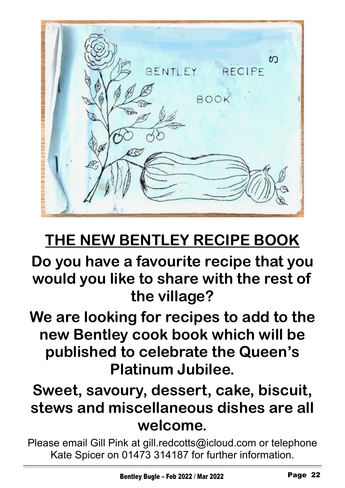

# **THE NEW BENTLEY RECIPE BOOK**

# **Do you have a favourite recipe that you would you like to share with the rest of the village?**

**We are looking for recipes to add to the new Bentley cook book which will be published to celebrate the Queen's Platinum Jubilee.**

# **Sweet, savoury, dessert, cake, biscuit, stews and miscellaneous dishes are all welcome.**

Please email Gill Pink at gill.redcotts@icloud.com or telephone Kate Spicer on 01473 314187 for further information.